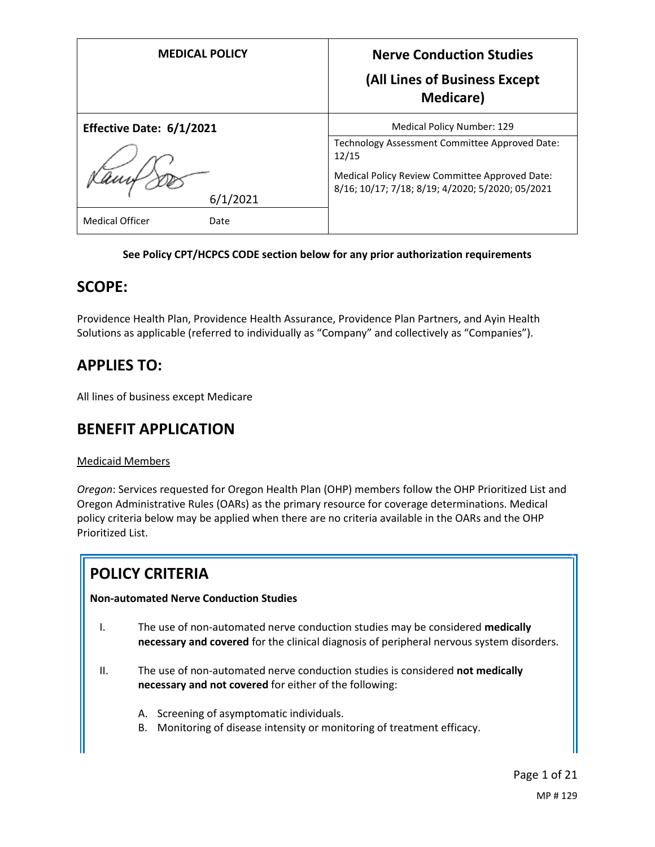| <b>MEDICAL POLICY</b>          | <b>Nerve Conduction Studies</b><br>(All Lines of Business Except<br><b>Medicare</b> )                     |
|--------------------------------|-----------------------------------------------------------------------------------------------------------|
| Effective Date: 6/1/2021       | Medical Policy Number: 129                                                                                |
|                                | Technology Assessment Committee Approved Date:<br>12/15                                                   |
| 6/1/2021                       | <b>Medical Policy Review Committee Approved Date:</b><br>8/16; 10/17; 7/18; 8/19; 4/2020; 5/2020; 05/2021 |
| <b>Medical Officer</b><br>Date |                                                                                                           |

#### **See Policy CPT/HCPCS CODE section below for any prior authorization requirements**

### **SCOPE:**

Providence Health Plan, Providence Health Assurance, Providence Plan Partners, and Ayin Health Solutions as applicable (referred to individually as "Company" and collectively as "Companies").

## **APPLIES TO:**

All lines of business except Medicare

### **BENEFIT APPLICATION**

### Medicaid Members

*Oregon*: Services requested for Oregon Health Plan (OHP) members follow the OHP Prioritized List and Oregon Administrative Rules (OARs) as the primary resource for coverage determinations. Medical policy criteria below may be applied when there are no criteria available in the OARs and the OHP Prioritized List.

### **POLICY CRITERIA**

### **Non-automated Nerve Conduction Studies**

- I. The use of non-automated nerve conduction studies may be considered **medically necessary and covered** for the clinical diagnosis of peripheral nervous system disorders.
- II. The use of non-automated nerve conduction studies is considered **not medically necessary and not covered** for either of the following:
	- A. Screening of asymptomatic individuals.
	- B. Monitoring of disease intensity or monitoring of treatment efficacy.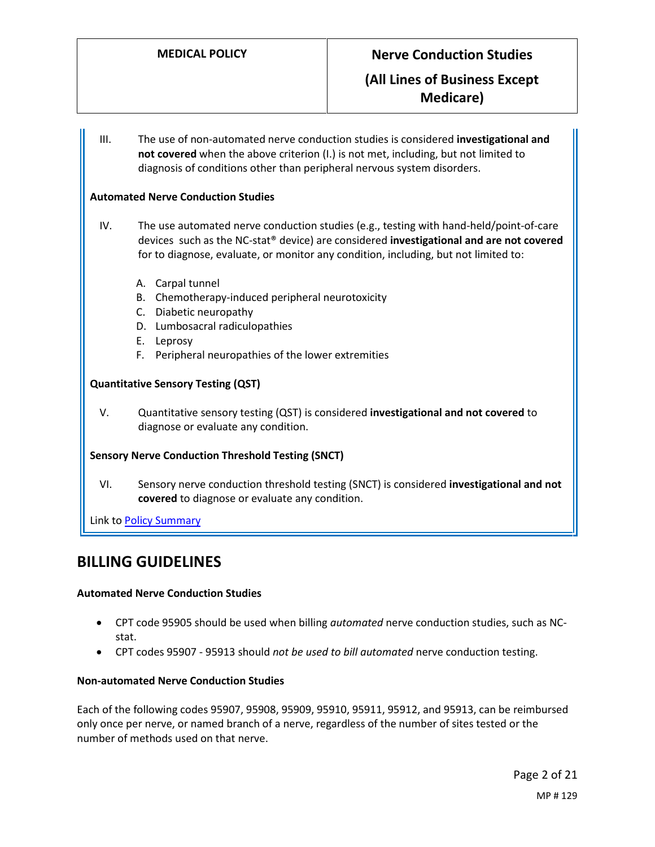III. The use of non-automated nerve conduction studies is considered **investigational and not covered** when the above criterion (I.) is not met, including, but not limited to diagnosis of conditions other than peripheral nervous system disorders.

#### **Automated Nerve Conduction Studies**

- IV. The use automated nerve conduction studies (e.g., testing with hand-held/point-of-care devices such as the NC-stat® device) are considered **investigational and are not covered** for to diagnose, evaluate, or monitor any condition, including, but not limited to:
	- A. Carpal tunnel
	- B. Chemotherapy-induced peripheral neurotoxicity
	- C. Diabetic neuropathy
	- D. Lumbosacral radiculopathies
	- E. Leprosy
	- F. Peripheral neuropathies of the lower extremities

#### **Quantitative Sensory Testing (QST)**

V. Quantitative sensory testing (QST) is considered **investigational and not covered** to diagnose or evaluate any condition.

#### **Sensory Nerve Conduction Threshold Testing (SNCT)**

VI. Sensory nerve conduction threshold testing (SNCT) is considered **investigational and not covered** to diagnose or evaluate any condition.

Link to **Policy Summary** 

### **BILLING GUIDELINES**

#### **Automated Nerve Conduction Studies**

- CPT code 95905 should be used when billing *automated* nerve conduction studies, such as NCstat.
- CPT codes 95907 95913 should *not be used to bill automated* nerve conduction testing.

#### **Non-automated Nerve Conduction Studies**

Each of the following codes 95907, 95908, 95909, 95910, 95911, 95912, and 95913, can be reimbursed only once per nerve, or named branch of a nerve, regardless of the number of sites tested or the number of methods used on that nerve.

Page 2 of 21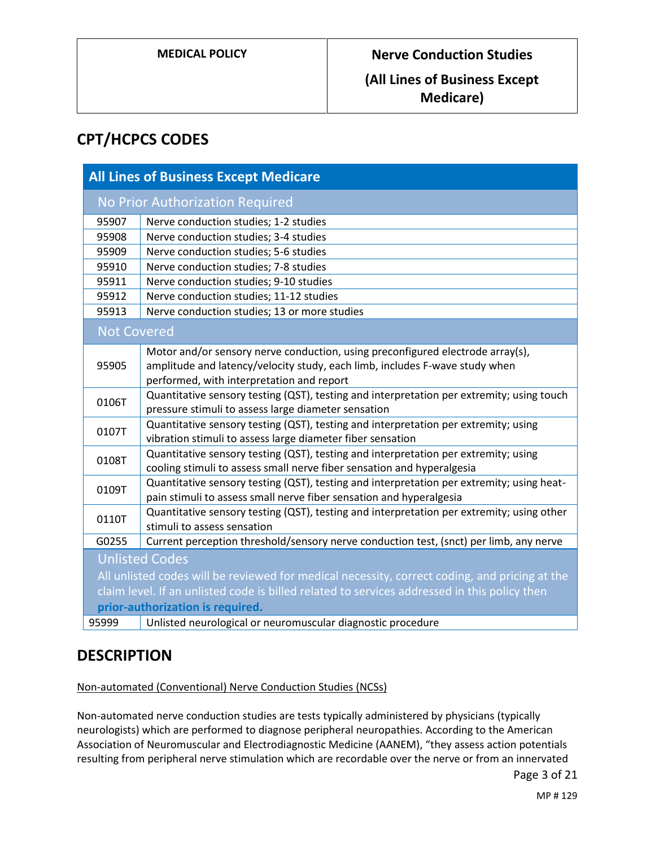### **(All Lines of Business Except Medicare)**

## **CPT/HCPCS CODES**

| <b>All Lines of Business Except Medicare</b>                                                  |                                                                                           |
|-----------------------------------------------------------------------------------------------|-------------------------------------------------------------------------------------------|
| <b>No Prior Authorization Required</b>                                                        |                                                                                           |
| 95907                                                                                         | Nerve conduction studies; 1-2 studies                                                     |
| 95908                                                                                         | Nerve conduction studies; 3-4 studies                                                     |
| 95909                                                                                         | Nerve conduction studies; 5-6 studies                                                     |
| 95910                                                                                         | Nerve conduction studies; 7-8 studies                                                     |
| 95911                                                                                         | Nerve conduction studies; 9-10 studies                                                    |
| 95912                                                                                         | Nerve conduction studies; 11-12 studies                                                   |
| 95913                                                                                         | Nerve conduction studies; 13 or more studies                                              |
| <b>Not Covered</b>                                                                            |                                                                                           |
|                                                                                               | Motor and/or sensory nerve conduction, using preconfigured electrode array(s),            |
| 95905                                                                                         | amplitude and latency/velocity study, each limb, includes F-wave study when               |
|                                                                                               | performed, with interpretation and report                                                 |
| 0106T                                                                                         | Quantitative sensory testing (QST), testing and interpretation per extremity; using touch |
|                                                                                               | pressure stimuli to assess large diameter sensation                                       |
| 0107T                                                                                         | Quantitative sensory testing (QST), testing and interpretation per extremity; using       |
|                                                                                               | vibration stimuli to assess large diameter fiber sensation                                |
| 0108T                                                                                         | Quantitative sensory testing (QST), testing and interpretation per extremity; using       |
|                                                                                               | cooling stimuli to assess small nerve fiber sensation and hyperalgesia                    |
| 0109T                                                                                         | Quantitative sensory testing (QST), testing and interpretation per extremity; using heat- |
|                                                                                               | pain stimuli to assess small nerve fiber sensation and hyperalgesia                       |
| 0110T                                                                                         | Quantitative sensory testing (QST), testing and interpretation per extremity; using other |
|                                                                                               | stimuli to assess sensation                                                               |
| G0255                                                                                         | Current perception threshold/sensory nerve conduction test, (snct) per limb, any nerve    |
| <b>Unlisted Codes</b>                                                                         |                                                                                           |
| All unlisted codes will be reviewed for medical necessity, correct coding, and pricing at the |                                                                                           |
| claim level. If an unlisted code is billed related to services addressed in this policy then  |                                                                                           |
| prior-authorization is required.                                                              |                                                                                           |
| 95999                                                                                         | Unlisted neurological or neuromuscular diagnostic procedure                               |

### **DESCRIPTION**

Non-automated (Conventional) Nerve Conduction Studies (NCSs)

Non-automated nerve conduction studies are tests typically administered by physicians (typically neurologists) which are performed to diagnose peripheral neuropathies. According to the American Association of Neuromuscular and Electrodiagnostic Medicine (AANEM), "they assess action potentials resulting from peripheral nerve stimulation which are recordable over the nerve or from an innervated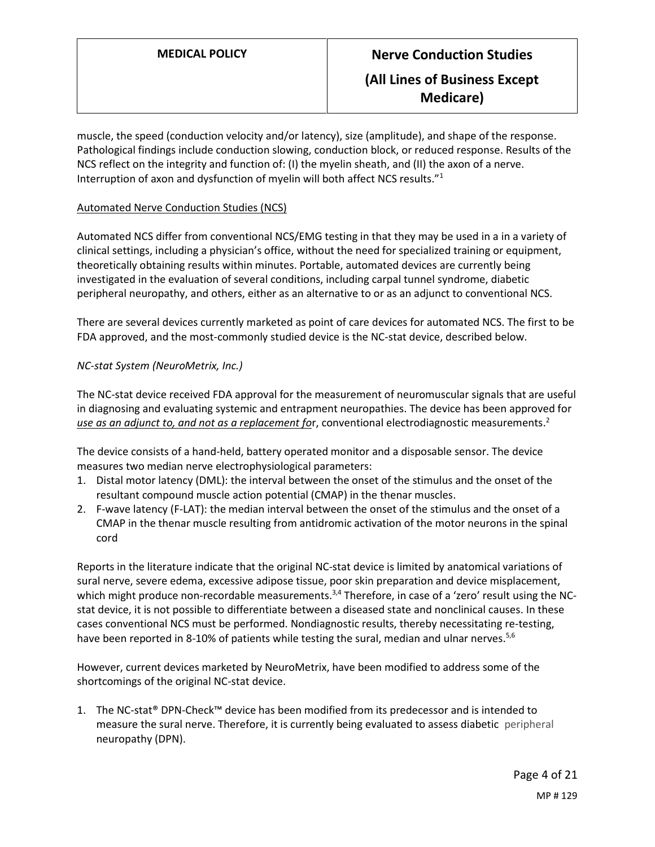muscle, the speed (conduction velocity and/or latency), size (amplitude), and shape of the response. Pathological findings include conduction slowing, conduction block, or reduced response. Results of the NCS reflect on the integrity and function of: (I) the myelin sheath, and (II) the axon of a nerve. Interruption of axon and dysfunction of myelin will both affect NCS results."<sup>1</sup>

#### Automated Nerve Conduction Studies (NCS)

Automated NCS differ from conventional NCS/EMG testing in that they may be used in a in a variety of clinical settings, including a physician's office, without the need for specialized training or equipment, theoretically obtaining results within minutes. Portable, automated devices are currently being investigated in the evaluation of several conditions, including carpal tunnel syndrome, diabetic peripheral neuropathy, and others, either as an alternative to or as an adjunct to conventional NCS.

There are several devices currently marketed as point of care devices for automated NCS. The first to be FDA approved, and the most-commonly studied device is the NC-stat device, described below.

#### *NC-stat System (NeuroMetrix, Inc.)*

The NC-stat device received FDA approval for the measurement of neuromuscular signals that are useful in diagnosing and evaluating systemic and entrapment neuropathies. The device has been approved for *use as an adjunct to, and not as a replacement fo*r, conventional electrodiagnostic measurements. 2

The device consists of a hand-held, battery operated monitor and a disposable sensor. The device measures two median nerve electrophysiological parameters:

- 1. Distal motor latency (DML): the interval between the onset of the stimulus and the onset of the resultant compound muscle action potential (CMAP) in the thenar muscles.
- 2. F-wave latency (F-LAT): the median interval between the onset of the stimulus and the onset of a CMAP in the thenar muscle resulting from antidromic activation of the motor neurons in the spinal cord

Reports in the literature indicate that the original NC-stat device is limited by anatomical variations of sural nerve, severe edema, excessive adipose tissue, poor skin preparation and device misplacement, which might produce non-recordable measurements.<sup>3,4</sup> Therefore, in case of a 'zero' result using the NCstat device, it is not possible to differentiate between a diseased state and nonclinical causes. In these cases conventional NCS must be performed. Nondiagnostic results, thereby necessitating re-testing, have been reported in 8-10% of patients while testing the sural, median and ulnar nerves.<sup>5,6</sup>

However, current devices marketed by NeuroMetrix, have been modified to address some of the shortcomings of the original NC-stat device.

1. The NC-stat® DPN-Check™ device has been modified from its predecessor and is intended to measure the sural nerve. Therefore, it is currently being evaluated to assess diabetic peripheral neuropathy (DPN).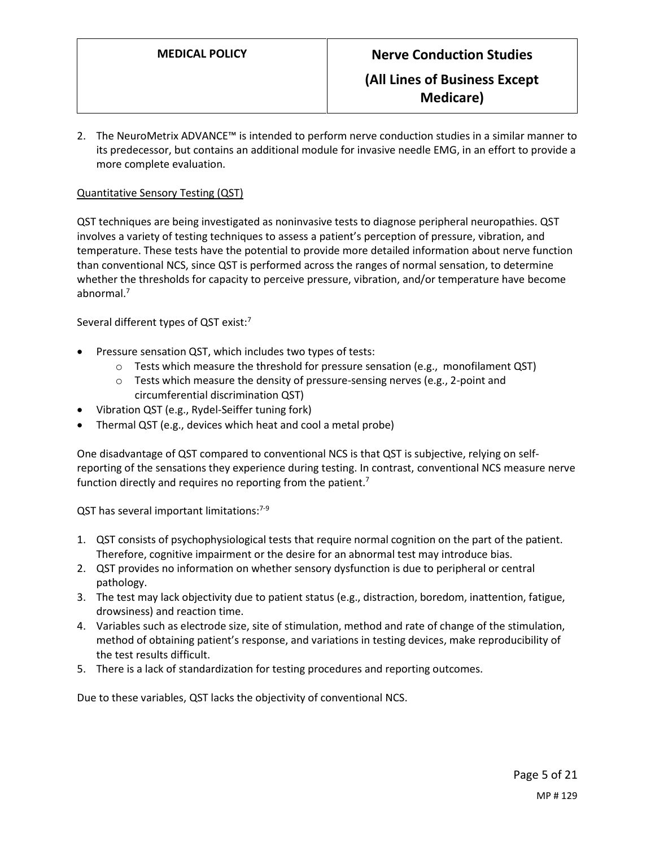2. The NeuroMetrix ADVANCE™ is intended to perform nerve conduction studies in a similar manner to its predecessor, but contains an additional module for invasive needle EMG, in an effort to provide a more complete evaluation.

#### Quantitative Sensory Testing (QST)

QST techniques are being investigated as noninvasive tests to diagnose peripheral neuropathies. QST involves a variety of testing techniques to assess a patient's perception of pressure, vibration, and temperature. These tests have the potential to provide more detailed information about nerve function than conventional NCS, since QST is performed across the ranges of normal sensation, to determine whether the thresholds for capacity to perceive pressure, vibration, and/or temperature have become abnormal.<sup>7</sup>

Several different types of QST exist:<sup>7</sup>

- Pressure sensation QST, which includes two types of tests:
	- $\circ$  Tests which measure the threshold for pressure sensation (e.g., monofilament QST)
	- $\circ$  Tests which measure the density of pressure-sensing nerves (e.g., 2-point and circumferential discrimination QST)
- Vibration QST (e.g., Rydel-Seiffer tuning fork)
- Thermal QST (e.g., devices which heat and cool a metal probe)

One disadvantage of QST compared to conventional NCS is that QST is subjective, relying on selfreporting of the sensations they experience during testing. In contrast, conventional NCS measure nerve function directly and requires no reporting from the patient.<sup>7</sup>

QST has several important limitations: $7-9$ 

- 1. QST consists of psychophysiological tests that require normal cognition on the part of the patient. Therefore, cognitive impairment or the desire for an abnormal test may introduce bias.
- 2. QST provides no information on whether sensory dysfunction is due to peripheral or central pathology.
- 3. The test may lack objectivity due to patient status (e.g., distraction, boredom, inattention, fatigue, drowsiness) and reaction time.
- 4. Variables such as electrode size, site of stimulation, method and rate of change of the stimulation, method of obtaining patient's response, and variations in testing devices, make reproducibility of the test results difficult.
- 5. There is a lack of standardization for testing procedures and reporting outcomes.

Due to these variables, QST lacks the objectivity of conventional NCS.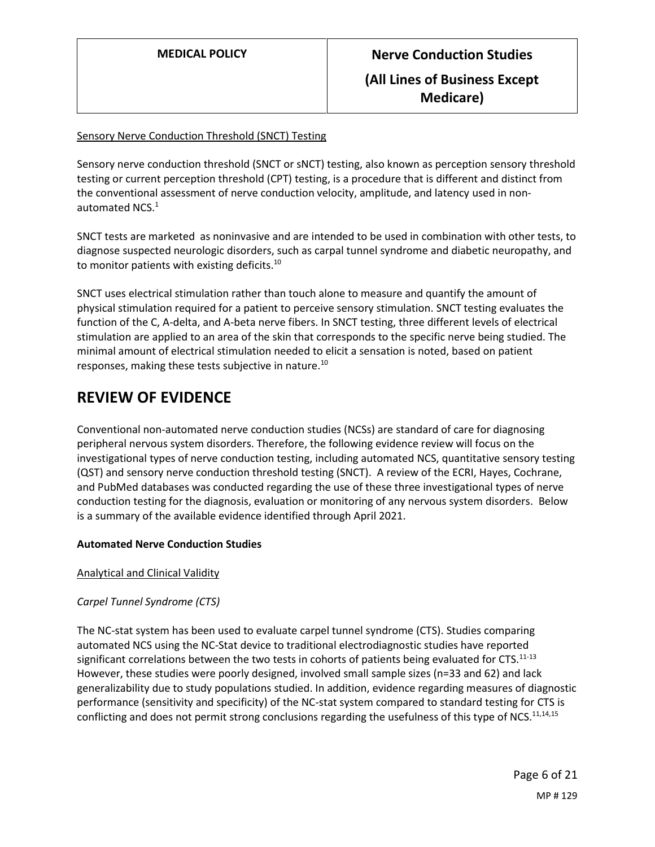#### Sensory Nerve Conduction Threshold (SNCT) Testing

Sensory nerve conduction threshold (SNCT or sNCT) testing, also known as perception sensory threshold testing or current perception threshold (CPT) testing, is a procedure that is different and distinct from the conventional assessment of nerve conduction velocity, amplitude, and latency used in nonautomated NCS. $^1$ 

SNCT tests are marketed as noninvasive and are intended to be used in combination with other tests, to diagnose suspected neurologic disorders, such as carpal tunnel syndrome and diabetic neuropathy, and to monitor patients with existing deficits.<sup>10</sup>

SNCT uses electrical stimulation rather than touch alone to measure and quantify the amount of physical stimulation required for a patient to perceive sensory stimulation. SNCT testing evaluates the function of the C, A-delta, and A-beta nerve fibers. In SNCT testing, three different levels of electrical stimulation are applied to an area of the skin that corresponds to the specific nerve being studied. The minimal amount of electrical stimulation needed to elicit a sensation is noted, based on patient responses, making these tests subjective in nature.<sup>10</sup>

### **REVIEW OF EVIDENCE**

Conventional non-automated nerve conduction studies (NCSs) are standard of care for diagnosing peripheral nervous system disorders. Therefore, the following evidence review will focus on the investigational types of nerve conduction testing, including automated NCS, quantitative sensory testing (QST) and sensory nerve conduction threshold testing (SNCT). A review of the ECRI, Hayes, Cochrane, and PubMed databases was conducted regarding the use of these three investigational types of nerve conduction testing for the diagnosis, evaluation or monitoring of any nervous system disorders. Below is a summary of the available evidence identified through April 2021.

#### **Automated Nerve Conduction Studies**

Analytical and Clinical Validity

### *Carpel Tunnel Syndrome (CTS)*

The NC-stat system has been used to evaluate carpel tunnel syndrome (CTS). Studies comparing automated NCS using the NC-Stat device to traditional electrodiagnostic studies have reported significant correlations between the two tests in cohorts of patients being evaluated for CTS. $11-13$ However, these studies were poorly designed, involved small sample sizes (n=33 and 62) and lack generalizability due to study populations studied. In addition, evidence regarding measures of diagnostic performance (sensitivity and specificity) of the NC-stat system compared to standard testing for CTS is conflicting and does not permit strong conclusions regarding the usefulness of this type of NCS.<sup>11,14,15</sup>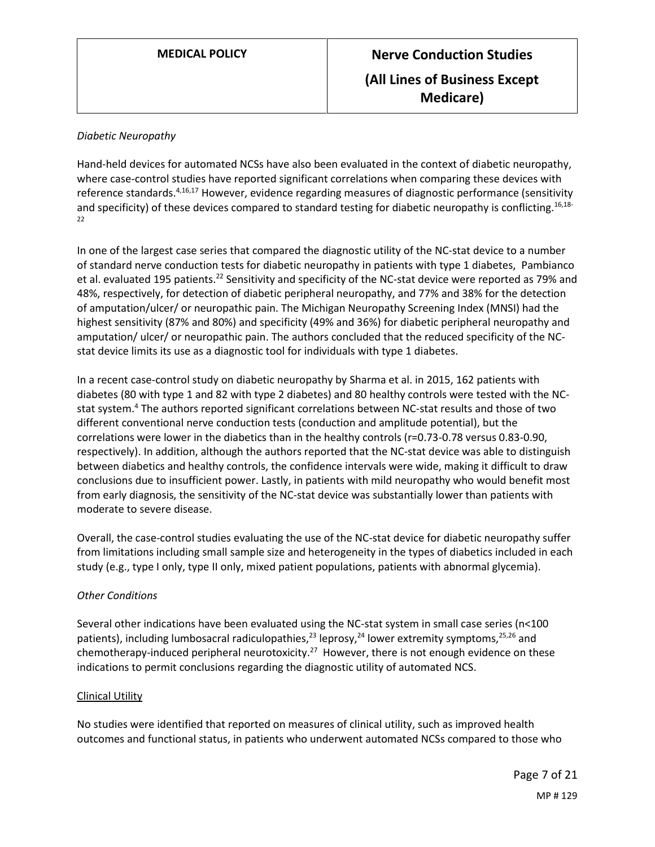#### *Diabetic Neuropathy*

Hand-held devices for automated NCSs have also been evaluated in the context of diabetic neuropathy, where case-control studies have reported significant correlations when comparing these devices with reference standards.<sup>4,16,17</sup> However, evidence regarding measures of diagnostic performance (sensitivity and specificity) of these devices compared to standard testing for diabetic neuropathy is conflicting.<sup>16,18-</sup> 22

In one of the largest case series that compared the diagnostic utility of the NC-stat device to a number of standard nerve conduction tests for diabetic neuropathy in patients with type 1 diabetes, Pambianco et al. evaluated 195 patients.<sup>22</sup> Sensitivity and specificity of the NC-stat device were reported as 79% and 48%, respectively, for detection of diabetic peripheral neuropathy, and 77% and 38% for the detection of amputation/ulcer/ or neuropathic pain. The Michigan Neuropathy Screening Index (MNSI) had the highest sensitivity (87% and 80%) and specificity (49% and 36%) for diabetic peripheral neuropathy and amputation/ ulcer/ or neuropathic pain. The authors concluded that the reduced specificity of the NCstat device limits its use as a diagnostic tool for individuals with type 1 diabetes.

In a recent case-control study on diabetic neuropathy by Sharma et al. in 2015, 162 patients with diabetes (80 with type 1 and 82 with type 2 diabetes) and 80 healthy controls were tested with the NCstat system.<sup>4</sup> The authors reported significant correlations between NC-stat results and those of two different conventional nerve conduction tests (conduction and amplitude potential), but the correlations were lower in the diabetics than in the healthy controls (r=0.73-0.78 versus 0.83-0.90, respectively). In addition, although the authors reported that the NC-stat device was able to distinguish between diabetics and healthy controls, the confidence intervals were wide, making it difficult to draw conclusions due to insufficient power. Lastly, in patients with mild neuropathy who would benefit most from early diagnosis, the sensitivity of the NC-stat device was substantially lower than patients with moderate to severe disease.

Overall, the case-control studies evaluating the use of the NC-stat device for diabetic neuropathy suffer from limitations including small sample size and heterogeneity in the types of diabetics included in each study (e.g., type I only, type II only, mixed patient populations, patients with abnormal glycemia).

#### *Other Conditions*

Several other indications have been evaluated using the NC-stat system in small case series (n<100 patients), including lumbosacral radiculopathies,<sup>23</sup> leprosy,<sup>24</sup> lower extremity symptoms,<sup>25,26</sup> and chemotherapy-induced peripheral neurotoxicity.<sup>27</sup> However, there is not enough evidence on these indications to permit conclusions regarding the diagnostic utility of automated NCS.

#### Clinical Utility

No studies were identified that reported on measures of clinical utility, such as improved health outcomes and functional status, in patients who underwent automated NCSs compared to those who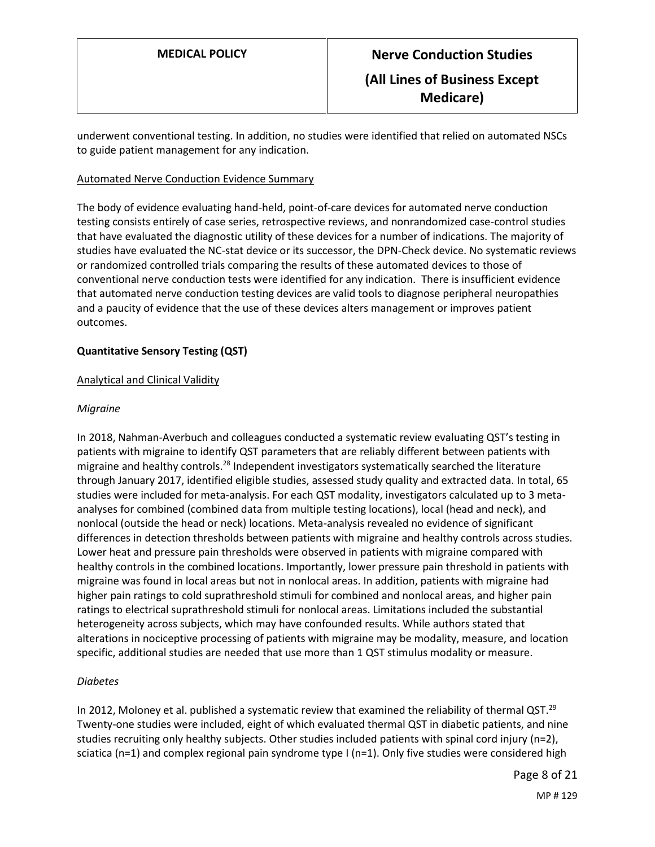underwent conventional testing. In addition, no studies were identified that relied on automated NSCs to guide patient management for any indication.

#### Automated Nerve Conduction Evidence Summary

The body of evidence evaluating hand-held, point-of-care devices for automated nerve conduction testing consists entirely of case series, retrospective reviews, and nonrandomized case-control studies that have evaluated the diagnostic utility of these devices for a number of indications. The majority of studies have evaluated the NC-stat device or its successor, the DPN-Check device. No systematic reviews or randomized controlled trials comparing the results of these automated devices to those of conventional nerve conduction tests were identified for any indication. There is insufficient evidence that automated nerve conduction testing devices are valid tools to diagnose peripheral neuropathies and a paucity of evidence that the use of these devices alters management or improves patient outcomes.

#### **Quantitative Sensory Testing (QST)**

#### Analytical and Clinical Validity

#### *Migraine*

In 2018, Nahman-Averbuch and colleagues conducted a systematic review evaluating QST's testing in patients with migraine to identify QST parameters that are reliably different between patients with migraine and healthy controls.<sup>28</sup> Independent investigators systematically searched the literature through January 2017, identified eligible studies, assessed study quality and extracted data. In total, 65 studies were included for meta-analysis. For each QST modality, investigators calculated up to 3 metaanalyses for combined (combined data from multiple testing locations), local (head and neck), and nonlocal (outside the head or neck) locations. Meta-analysis revealed no evidence of significant differences in detection thresholds between patients with migraine and healthy controls across studies. Lower heat and pressure pain thresholds were observed in patients with migraine compared with healthy controls in the combined locations. Importantly, lower pressure pain threshold in patients with migraine was found in local areas but not in nonlocal areas. In addition, patients with migraine had higher pain ratings to cold suprathreshold stimuli for combined and nonlocal areas, and higher pain ratings to electrical suprathreshold stimuli for nonlocal areas. Limitations included the substantial heterogeneity across subjects, which may have confounded results. While authors stated that alterations in nociceptive processing of patients with migraine may be modality, measure, and location specific, additional studies are needed that use more than 1 QST stimulus modality or measure.

#### *Diabetes*

In 2012, Moloney et al. published a systematic review that examined the reliability of thermal QST.<sup>29</sup> Twenty-one studies were included, eight of which evaluated thermal QST in diabetic patients, and nine studies recruiting only healthy subjects. Other studies included patients with spinal cord injury (n=2), sciatica (n=1) and complex regional pain syndrome type I (n=1). Only five studies were considered high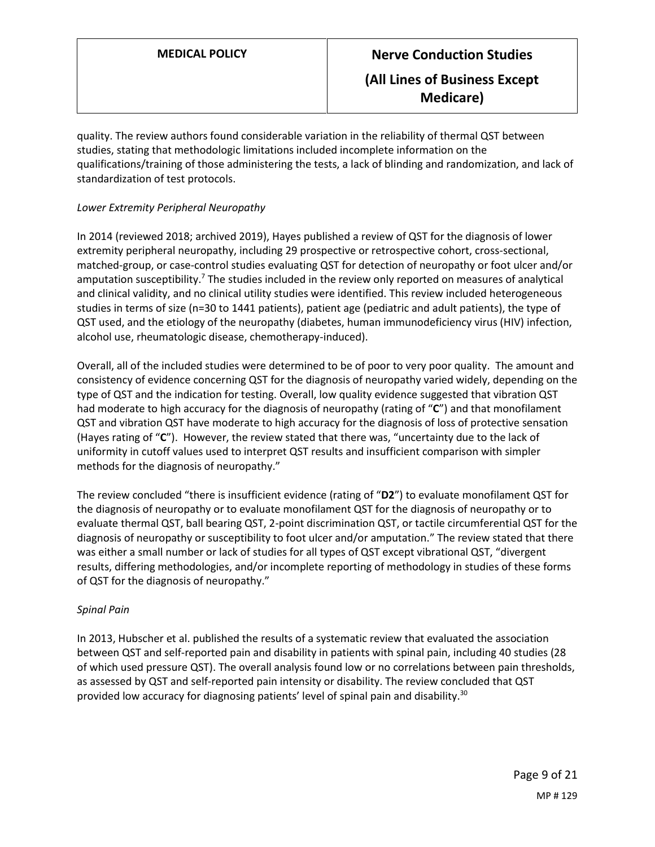quality. The review authors found considerable variation in the reliability of thermal QST between studies, stating that methodologic limitations included incomplete information on the qualifications/training of those administering the tests, a lack of blinding and randomization, and lack of standardization of test protocols.

### *Lower Extremity Peripheral Neuropathy*

In 2014 (reviewed 2018; archived 2019), Hayes published a review of QST for the diagnosis of lower extremity peripheral neuropathy, including 29 prospective or retrospective cohort, cross-sectional, matched-group, or case-control studies evaluating QST for detection of neuropathy or foot ulcer and/or amputation susceptibility.<sup>7</sup> The studies included in the review only reported on measures of analytical and clinical validity, and no clinical utility studies were identified. This review included heterogeneous studies in terms of size (n=30 to 1441 patients), patient age (pediatric and adult patients), the type of QST used, and the etiology of the neuropathy (diabetes, human immunodeficiency virus (HIV) infection, alcohol use, rheumatologic disease, chemotherapy-induced).

Overall, all of the included studies were determined to be of poor to very poor quality. The amount and consistency of evidence concerning QST for the diagnosis of neuropathy varied widely, depending on the type of QST and the indication for testing. Overall, low quality evidence suggested that vibration QST had moderate to high accuracy for the diagnosis of neuropathy (rating of "**C**") and that monofilament QST and vibration QST have moderate to high accuracy for the diagnosis of loss of protective sensation (Hayes rating of "**C**"). However, the review stated that there was, "uncertainty due to the lack of uniformity in cutoff values used to interpret QST results and insufficient comparison with simpler methods for the diagnosis of neuropathy."

The review concluded "there is insufficient evidence (rating of "**D2**") to evaluate monofilament QST for the diagnosis of neuropathy or to evaluate monofilament QST for the diagnosis of neuropathy or to evaluate thermal QST, ball bearing QST, 2-point discrimination QST, or tactile circumferential QST for the diagnosis of neuropathy or susceptibility to foot ulcer and/or amputation." The review stated that there was either a small number or lack of studies for all types of QST except vibrational QST, "divergent results, differing methodologies, and/or incomplete reporting of methodology in studies of these forms of QST for the diagnosis of neuropathy."

#### *Spinal Pain*

In 2013, Hubscher et al. published the results of a systematic review that evaluated the association between QST and self-reported pain and disability in patients with spinal pain, including 40 studies (28 of which used pressure QST). The overall analysis found low or no correlations between pain thresholds, as assessed by QST and self-reported pain intensity or disability. The review concluded that QST provided low accuracy for diagnosing patients' level of spinal pain and disability.<sup>30</sup>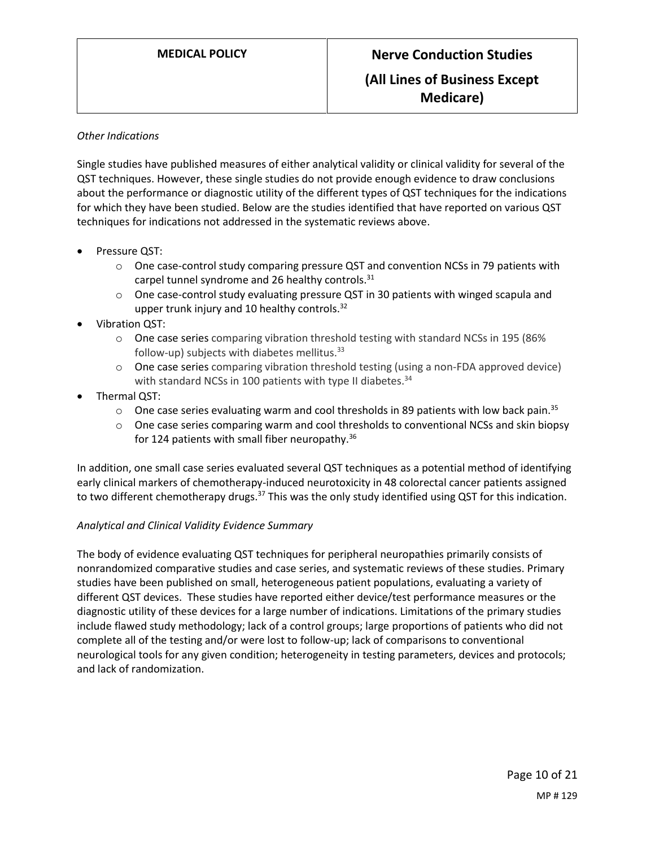#### *Other Indications*

Single studies have published measures of either analytical validity or clinical validity for several of the QST techniques. However, these single studies do not provide enough evidence to draw conclusions about the performance or diagnostic utility of the different types of QST techniques for the indications for which they have been studied. Below are the studies identified that have reported on various QST techniques for indications not addressed in the systematic reviews above.

- Pressure QST:
	- $\circ$  One case-control study comparing pressure QST and convention NCSs in 79 patients with carpel tunnel syndrome and 26 healthy controls.<sup>31</sup>
	- $\circ$  One case-control study evaluating pressure QST in 30 patients with winged scapula and upper trunk injury and 10 healthy controls.<sup>32</sup>
- Vibration QST:
	- $\circ$  One case series comparing vibration threshold testing with standard NCSs in 195 (86%) follow-up) subjects with diabetes mellitus.<sup>33</sup>
	- o One case series comparing vibration threshold testing (using a non-FDA approved device) with standard NCSs in 100 patients with type II diabetes.<sup>34</sup>
- Thermal QST:
	- $\circ$  One case series evaluating warm and cool thresholds in 89 patients with low back pain.<sup>35</sup>
	- $\circ$  One case series comparing warm and cool thresholds to conventional NCSs and skin biopsy for 124 patients with small fiber neuropathy.<sup>36</sup>

In addition, one small case series evaluated several QST techniques as a potential method of identifying early clinical markers of chemotherapy-induced neurotoxicity in 48 colorectal cancer patients assigned to two different chemotherapy drugs.<sup>37</sup> This was the only study identified using QST for this indication.

#### *Analytical and Clinical Validity Evidence Summary*

The body of evidence evaluating QST techniques for peripheral neuropathies primarily consists of nonrandomized comparative studies and case series, and systematic reviews of these studies. Primary studies have been published on small, heterogeneous patient populations, evaluating a variety of different QST devices. These studies have reported either device/test performance measures or the diagnostic utility of these devices for a large number of indications. Limitations of the primary studies include flawed study methodology; lack of a control groups; large proportions of patients who did not complete all of the testing and/or were lost to follow-up; lack of comparisons to conventional neurological tools for any given condition; heterogeneity in testing parameters, devices and protocols; and lack of randomization.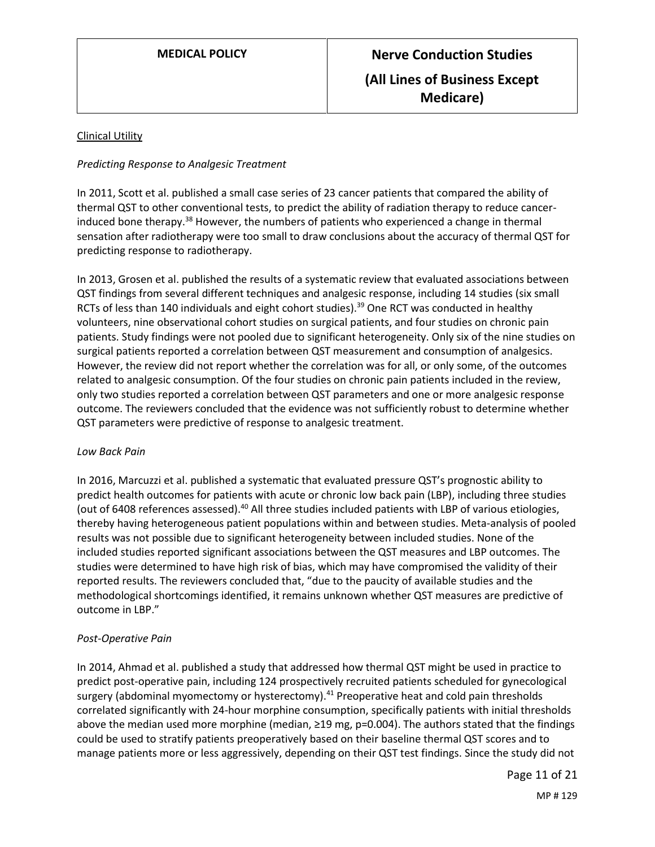#### Clinical Utility

#### *Predicting Response to Analgesic Treatment*

In 2011, Scott et al. published a small case series of 23 cancer patients that compared the ability of thermal QST to other conventional tests, to predict the ability of radiation therapy to reduce cancerinduced bone therapy.<sup>38</sup> However, the numbers of patients who experienced a change in thermal sensation after radiotherapy were too small to draw conclusions about the accuracy of thermal QST for predicting response to radiotherapy.

In 2013, Grosen et al. published the results of a systematic review that evaluated associations between QST findings from several different techniques and analgesic response, including 14 studies (six small RCTs of less than 140 individuals and eight cohort studies).<sup>39</sup> One RCT was conducted in healthy volunteers, nine observational cohort studies on surgical patients, and four studies on chronic pain patients. Study findings were not pooled due to significant heterogeneity. Only six of the nine studies on surgical patients reported a correlation between QST measurement and consumption of analgesics. However, the review did not report whether the correlation was for all, or only some, of the outcomes related to analgesic consumption. Of the four studies on chronic pain patients included in the review, only two studies reported a correlation between QST parameters and one or more analgesic response outcome. The reviewers concluded that the evidence was not sufficiently robust to determine whether QST parameters were predictive of response to analgesic treatment.

#### *Low Back Pain*

In 2016, Marcuzzi et al. published a systematic that evaluated pressure QST's prognostic ability to predict health outcomes for patients with acute or chronic low back pain (LBP), including three studies (out of 6408 references assessed).<sup>40</sup> All three studies included patients with LBP of various etiologies, thereby having heterogeneous patient populations within and between studies. Meta-analysis of pooled results was not possible due to significant heterogeneity between included studies. None of the included studies reported significant associations between the QST measures and LBP outcomes. The studies were determined to have high risk of bias, which may have compromised the validity of their reported results. The reviewers concluded that, "due to the paucity of available studies and the methodological shortcomings identified, it remains unknown whether QST measures are predictive of outcome in LBP."

#### *Post-Operative Pain*

In 2014, Ahmad et al. published a study that addressed how thermal QST might be used in practice to predict post-operative pain, including 124 prospectively recruited patients scheduled for gynecological surgery (abdominal myomectomy or hysterectomy). $41$  Preoperative heat and cold pain thresholds correlated significantly with 24-hour morphine consumption, specifically patients with initial thresholds above the median used more morphine (median, ≥19 mg, p=0.004). The authors stated that the findings could be used to stratify patients preoperatively based on their baseline thermal QST scores and to manage patients more or less aggressively, depending on their QST test findings. Since the study did not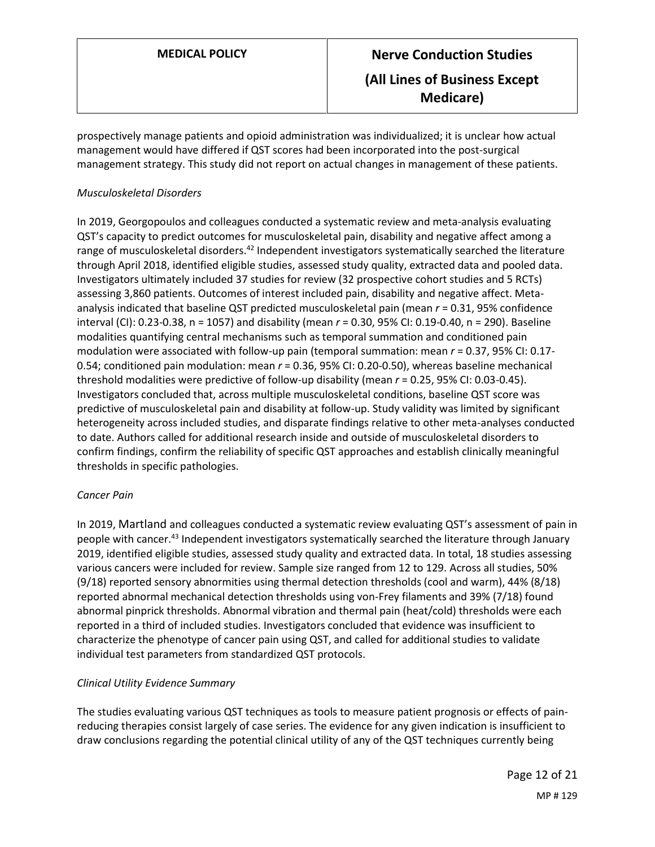prospectively manage patients and opioid administration was individualized; it is unclear how actual management would have differed if QST scores had been incorporated into the post-surgical management strategy. This study did not report on actual changes in management of these patients.

### *Musculoskeletal Disorders*

In 2019, Georgopoulos and colleagues conducted a systematic review and meta-analysis evaluating QST's capacity to predict outcomes for musculoskeletal pain, disability and negative affect among a range of musculoskeletal disorders.<sup>42</sup> Independent investigators systematically searched the literature through April 2018, identified eligible studies, assessed study quality, extracted data and pooled data. Investigators ultimately included 37 studies for review (32 prospective cohort studies and 5 RCTs) assessing 3,860 patients. Outcomes of interest included pain, disability and negative affect. Metaanalysis indicated that baseline QST predicted musculoskeletal pain (mean *r* = 0.31, 95% confidence interval (CI): 0.23-0.38, n = 1057) and disability (mean *r* = 0.30, 95% CI: 0.19-0.40, n = 290). Baseline modalities quantifying central mechanisms such as temporal summation and conditioned pain modulation were associated with follow-up pain (temporal summation: mean *r* = 0.37, 95% CI: 0.17- 0.54; conditioned pain modulation: mean *r* = 0.36, 95% CI: 0.20-0.50), whereas baseline mechanical threshold modalities were predictive of follow-up disability (mean *r* = 0.25, 95% CI: 0.03-0.45). Investigators concluded that, across multiple musculoskeletal conditions, baseline QST score was predictive of musculoskeletal pain and disability at follow-up. Study validity was limited by significant heterogeneity across included studies, and disparate findings relative to other meta-analyses conducted to date. Authors called for additional research inside and outside of musculoskeletal disorders to confirm findings, confirm the reliability of specific QST approaches and establish clinically meaningful thresholds in specific pathologies.

#### *Cancer Pain*

In 2019, Martland and colleagues conducted a systematic review evaluating QST's assessment of pain in people with cancer.<sup>43</sup> Independent investigators systematically searched the literature through January 2019, identified eligible studies, assessed study quality and extracted data. In total, 18 studies assessing various cancers were included for review. Sample size ranged from 12 to 129. Across all studies, 50% (9/18) reported sensory abnormities using thermal detection thresholds (cool and warm), 44% (8/18) reported abnormal mechanical detection thresholds using von-Frey filaments and 39% (7/18) found abnormal pinprick thresholds. Abnormal vibration and thermal pain (heat/cold) thresholds were each reported in a third of included studies. Investigators concluded that evidence was insufficient to characterize the phenotype of cancer pain using QST, and called for additional studies to validate individual test parameters from standardized QST protocols.

### *Clinical Utility Evidence Summary*

The studies evaluating various QST techniques as tools to measure patient prognosis or effects of painreducing therapies consist largely of case series. The evidence for any given indication is insufficient to draw conclusions regarding the potential clinical utility of any of the QST techniques currently being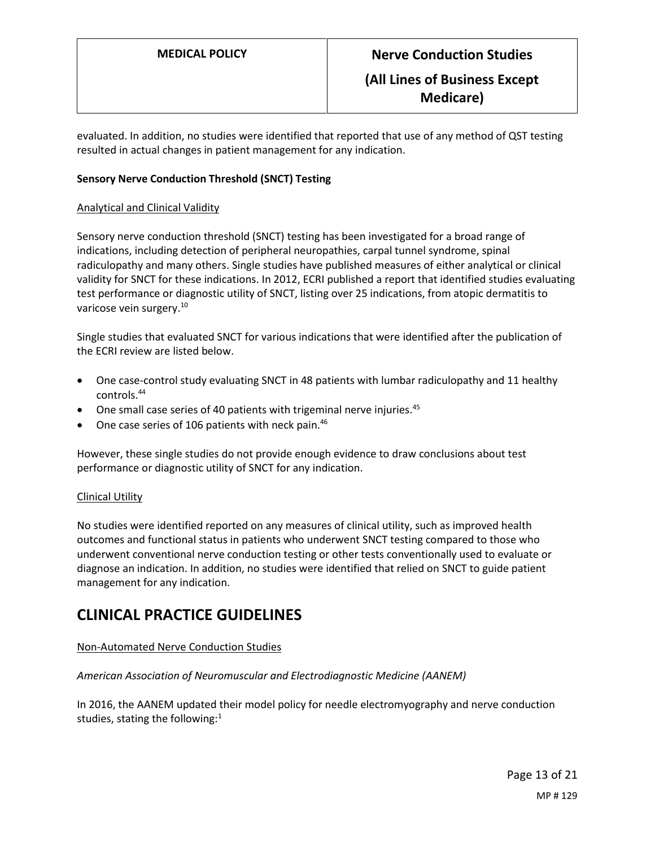evaluated. In addition, no studies were identified that reported that use of any method of QST testing resulted in actual changes in patient management for any indication.

#### **Sensory Nerve Conduction Threshold (SNCT) Testing**

#### Analytical and Clinical Validity

Sensory nerve conduction threshold (SNCT) testing has been investigated for a broad range of indications, including detection of peripheral neuropathies, carpal tunnel syndrome, spinal radiculopathy and many others. Single studies have published measures of either analytical or clinical validity for SNCT for these indications. In 2012, ECRI published a report that identified studies evaluating test performance or diagnostic utility of SNCT, listing over 25 indications, from atopic dermatitis to varicose vein surgery.<sup>10</sup>

Single studies that evaluated SNCT for various indications that were identified after the publication of the ECRI review are listed below.

- One case-control study evaluating SNCT in 48 patients with lumbar radiculopathy and 11 healthy controls.<sup>44</sup>
- One small case series of 40 patients with trigeminal nerve injuries.<sup>45</sup>
- One case series of 106 patients with neck pain. $46$

However, these single studies do not provide enough evidence to draw conclusions about test performance or diagnostic utility of SNCT for any indication.

#### Clinical Utility

No studies were identified reported on any measures of clinical utility, such as improved health outcomes and functional status in patients who underwent SNCT testing compared to those who underwent conventional nerve conduction testing or other tests conventionally used to evaluate or diagnose an indication. In addition, no studies were identified that relied on SNCT to guide patient management for any indication.

### **CLINICAL PRACTICE GUIDELINES**

#### Non-Automated Nerve Conduction Studies

#### *American Association of Neuromuscular and Electrodiagnostic Medicine (AANEM)*

In 2016, the AANEM updated their model policy for needle electromyography and nerve conduction studies, stating the following: $1$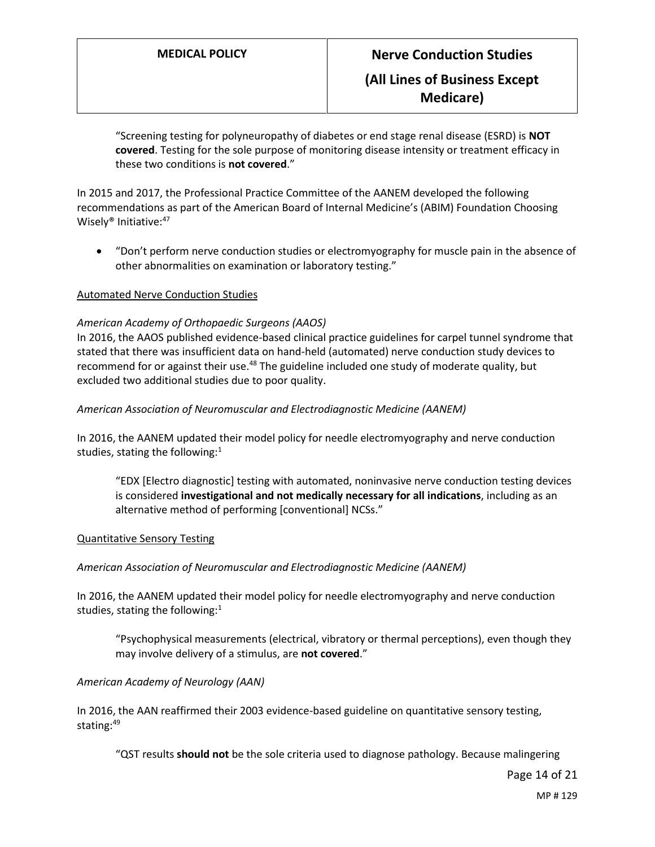"Screening testing for polyneuropathy of diabetes or end stage renal disease (ESRD) is **NOT covered**. Testing for the sole purpose of monitoring disease intensity or treatment efficacy in these two conditions is **not covered**."

In 2015 and 2017, the Professional Practice Committee of the AANEM developed the following recommendations as part of the American Board of Internal Medicine's (ABIM) Foundation Choosing Wisely<sup>®</sup> Initiative:<sup>47</sup>

 "Don't perform nerve conduction studies or electromyography for muscle pain in the absence of other abnormalities on examination or laboratory testing."

#### Automated Nerve Conduction Studies

#### *American Academy of Orthopaedic Surgeons (AAOS)*

In 2016, the AAOS published evidence-based clinical practice guidelines for carpel tunnel syndrome that stated that there was insufficient data on hand-held (automated) nerve conduction study devices to recommend for or against their use.<sup>48</sup> The guideline included one study of moderate quality, but excluded two additional studies due to poor quality.

#### *American Association of Neuromuscular and Electrodiagnostic Medicine (AANEM)*

In 2016, the AANEM updated their model policy for needle electromyography and nerve conduction studies, stating the following:<sup>1</sup>

"EDX [Electro diagnostic] testing with automated, noninvasive nerve conduction testing devices is considered **investigational and not medically necessary for all indications**, including as an alternative method of performing [conventional] NCSs."

#### Quantitative Sensory Testing

#### *American Association of Neuromuscular and Electrodiagnostic Medicine (AANEM)*

In 2016, the AANEM updated their model policy for needle electromyography and nerve conduction studies, stating the following: $1$ 

"Psychophysical measurements (electrical, vibratory or thermal perceptions), even though they may involve delivery of a stimulus, are **not covered**."

#### *American Academy of Neurology (AAN)*

In 2016, the AAN reaffirmed their 2003 evidence-based guideline on quantitative sensory testing, stating:<sup>49</sup>

"QST results **should not** be the sole criteria used to diagnose pathology. Because malingering

Page 14 of 21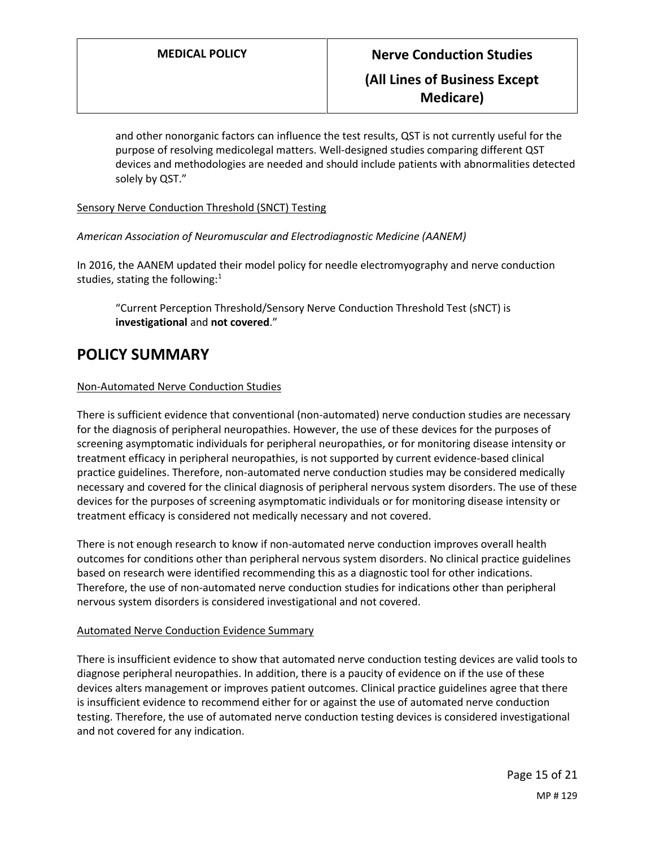**Medicare)**

and other nonorganic factors can influence the test results, QST is not currently useful for the purpose of resolving medicolegal matters. Well-designed studies comparing different QST devices and methodologies are needed and should include patients with abnormalities detected solely by QST."

Sensory Nerve Conduction Threshold (SNCT) Testing

*American Association of Neuromuscular and Electrodiagnostic Medicine (AANEM)*

In 2016, the AANEM updated their model policy for needle electromyography and nerve conduction studies, stating the following: $1$ 

"Current Perception Threshold/Sensory Nerve Conduction Threshold Test (sNCT) is **investigational** and **not covered**."

### <span id="page-14-0"></span>**POLICY SUMMARY**

#### Non-Automated Nerve Conduction Studies

There is sufficient evidence that conventional (non-automated) nerve conduction studies are necessary for the diagnosis of peripheral neuropathies. However, the use of these devices for the purposes of screening asymptomatic individuals for peripheral neuropathies, or for monitoring disease intensity or treatment efficacy in peripheral neuropathies, is not supported by current evidence-based clinical practice guidelines. Therefore, non-automated nerve conduction studies may be considered medically necessary and covered for the clinical diagnosis of peripheral nervous system disorders. The use of these devices for the purposes of screening asymptomatic individuals or for monitoring disease intensity or treatment efficacy is considered not medically necessary and not covered.

There is not enough research to know if non-automated nerve conduction improves overall health outcomes for conditions other than peripheral nervous system disorders. No clinical practice guidelines based on research were identified recommending this as a diagnostic tool for other indications. Therefore, the use of non-automated nerve conduction studies for indications other than peripheral nervous system disorders is considered investigational and not covered.

#### Automated Nerve Conduction Evidence Summary

There is insufficient evidence to show that automated nerve conduction testing devices are valid tools to diagnose peripheral neuropathies. In addition, there is a paucity of evidence on if the use of these devices alters management or improves patient outcomes. Clinical practice guidelines agree that there is insufficient evidence to recommend either for or against the use of automated nerve conduction testing. Therefore, the use of automated nerve conduction testing devices is considered investigational and not covered for any indication.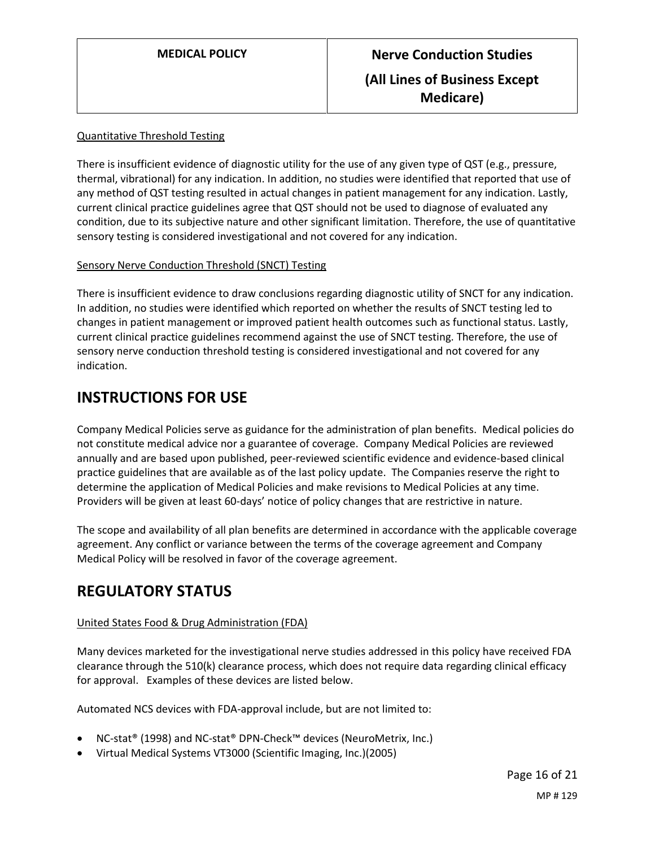#### Quantitative Threshold Testing

There is insufficient evidence of diagnostic utility for the use of any given type of QST (e.g., pressure, thermal, vibrational) for any indication. In addition, no studies were identified that reported that use of any method of QST testing resulted in actual changes in patient management for any indication. Lastly, current clinical practice guidelines agree that QST should not be used to diagnose of evaluated any condition, due to its subjective nature and other significant limitation. Therefore, the use of quantitative sensory testing is considered investigational and not covered for any indication.

#### Sensory Nerve Conduction Threshold (SNCT) Testing

There is insufficient evidence to draw conclusions regarding diagnostic utility of SNCT for any indication. In addition, no studies were identified which reported on whether the results of SNCT testing led to changes in patient management or improved patient health outcomes such as functional status. Lastly, current clinical practice guidelines recommend against the use of SNCT testing. Therefore, the use of sensory nerve conduction threshold testing is considered investigational and not covered for any indication.

### **INSTRUCTIONS FOR USE**

Company Medical Policies serve as guidance for the administration of plan benefits. Medical policies do not constitute medical advice nor a guarantee of coverage. Company Medical Policies are reviewed annually and are based upon published, peer-reviewed scientific evidence and evidence-based clinical practice guidelines that are available as of the last policy update. The Companies reserve the right to determine the application of Medical Policies and make revisions to Medical Policies at any time. Providers will be given at least 60-days' notice of policy changes that are restrictive in nature.

The scope and availability of all plan benefits are determined in accordance with the applicable coverage agreement. Any conflict or variance between the terms of the coverage agreement and Company Medical Policy will be resolved in favor of the coverage agreement.

### **REGULATORY STATUS**

### United States Food & Drug Administration (FDA)

Many devices marketed for the investigational nerve studies addressed in this policy have received FDA clearance through the 510(k) clearance process, which does not require data regarding clinical efficacy for approval. Examples of these devices are listed below.

Automated NCS devices with FDA-approval include, but are not limited to:

- NC-stat® (1998) and NC-stat® DPN-Check™ devices (NeuroMetrix, Inc.)
- Virtual Medical Systems VT3000 (Scientific Imaging, Inc.)(2005)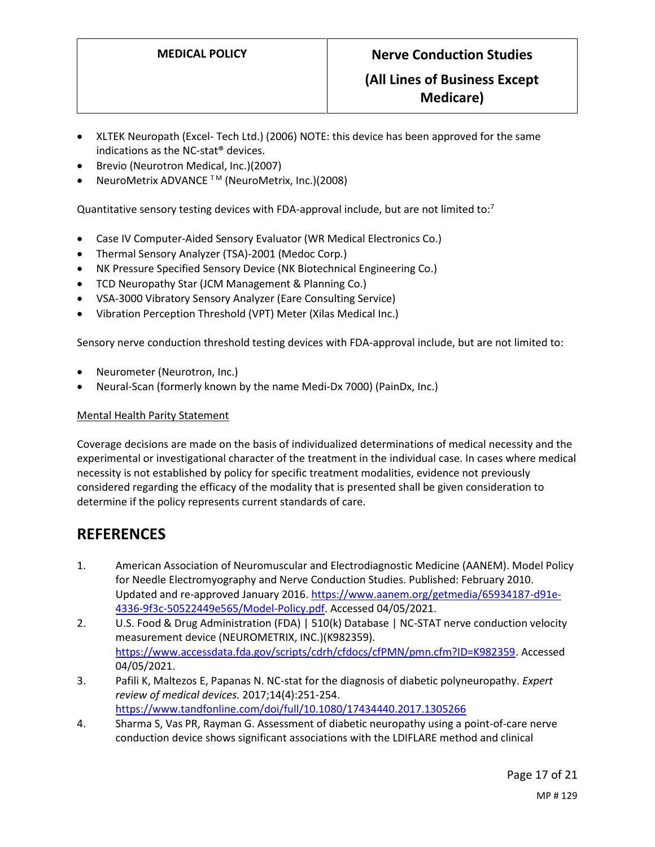### **(All Lines of Business Except Medicare)**

- XLTEK Neuropath (Excel- Tech Ltd.) (2006) NOTE: this device has been approved for the same indications as the NC-stat® devices.
- Brevio (Neurotron Medical, Inc.)(2007)
- NeuroMetrix ADVANCE <sup>™</sup> (NeuroMetrix, Inc.)(2008)

Quantitative sensory testing devices with FDA-approval include, but are not limited to: $<sup>7</sup>$ </sup>

- Case IV Computer-Aided Sensory Evaluator (WR Medical Electronics Co.)
- Thermal Sensory Analyzer (TSA)-2001 (Medoc Corp.)
- NK Pressure Specified Sensory Device (NK Biotechnical Engineering Co.)
- TCD Neuropathy Star (JCM Management & Planning Co.)
- VSA-3000 Vibratory Sensory Analyzer (Eare Consulting Service)
- Vibration Perception Threshold (VPT) Meter (Xilas Medical Inc.)

Sensory nerve conduction threshold testing devices with FDA-approval include, but are not limited to:

- Neurometer (Neurotron, Inc.)
- Neural-Scan (formerly known by the name Medi-Dx 7000) (PainDx, Inc.)

#### Mental Health Parity Statement

Coverage decisions are made on the basis of individualized determinations of medical necessity and the experimental or investigational character of the treatment in the individual case. In cases where medical necessity is not established by policy for specific treatment modalities, evidence not previously considered regarding the efficacy of the modality that is presented shall be given consideration to determine if the policy represents current standards of care.

### **REFERENCES**

- 1. American Association of Neuromuscular and Electrodiagnostic Medicine (AANEM). Model Policy for Needle Electromyography and Nerve Conduction Studies. Published: February 2010. Updated and re-approved January 2016. [https://www.aanem.org/getmedia/65934187-d91e-](https://www.aanem.org/getmedia/65934187-d91e-4336-9f3c-50522449e565/Model-Policy.pdf)[4336-9f3c-50522449e565/Model-Policy.pdf.](https://www.aanem.org/getmedia/65934187-d91e-4336-9f3c-50522449e565/Model-Policy.pdf) Accessed 04/05/2021.
- 2. U.S. Food & Drug Administration (FDA) | 510(k) Database | NC-STAT nerve conduction velocity measurement device (NEUROMETRIX, INC.)(K982359). [https://www.accessdata.fda.gov/scripts/cdrh/cfdocs/cfPMN/pmn.cfm?ID=K982359.](https://www.accessdata.fda.gov/scripts/cdrh/cfdocs/cfPMN/pmn.cfm?ID=K982359) Accessed 04/05/2021.
- 3. Pafili K, Maltezos E, Papanas N. NC-stat for the diagnosis of diabetic polyneuropathy. *Expert review of medical devices.* 2017;14(4):251-254. <https://www.tandfonline.com/doi/full/10.1080/17434440.2017.1305266>
- 4. Sharma S, Vas PR, Rayman G. Assessment of diabetic neuropathy using a point-of-care nerve conduction device shows significant associations with the LDIFLARE method and clinical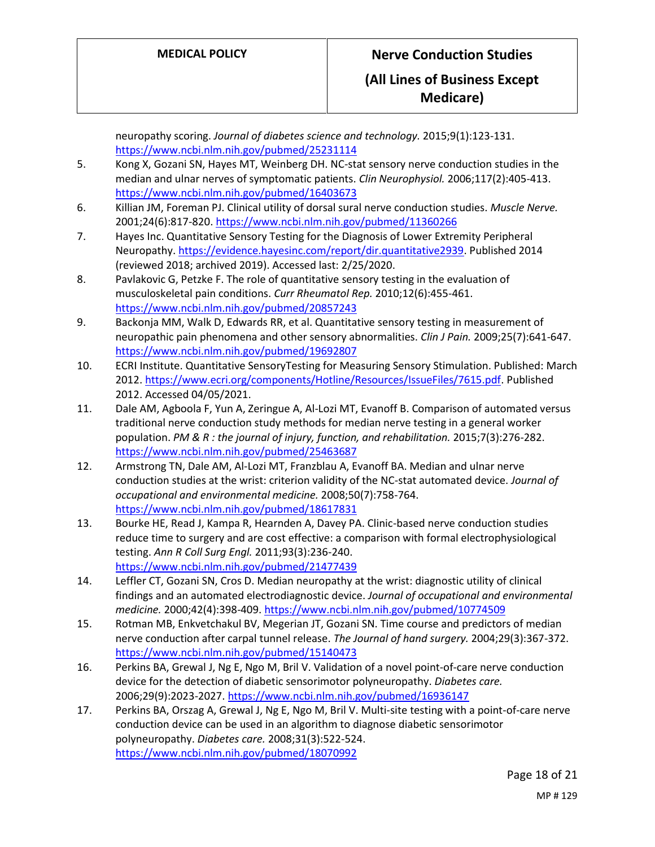**Medicare)**

neuropathy scoring. *Journal of diabetes science and technology.* 2015;9(1):123-131. <https://www.ncbi.nlm.nih.gov/pubmed/25231114>

- 5. Kong X, Gozani SN, Hayes MT, Weinberg DH. NC-stat sensory nerve conduction studies in the median and ulnar nerves of symptomatic patients. *Clin Neurophysiol.* 2006;117(2):405-413. <https://www.ncbi.nlm.nih.gov/pubmed/16403673>
- 6. Killian JM, Foreman PJ. Clinical utility of dorsal sural nerve conduction studies. *Muscle Nerve.*  2001;24(6):817-820[. https://www.ncbi.nlm.nih.gov/pubmed/11360266](https://www.ncbi.nlm.nih.gov/pubmed/11360266)
- 7. Hayes Inc. Quantitative Sensory Testing for the Diagnosis of Lower Extremity Peripheral Neuropathy[. https://evidence.hayesinc.com/report/dir.quantitative2939.](https://evidence.hayesinc.com/report/dir.quantitative2939) Published 2014 (reviewed 2018; archived 2019). Accessed last: 2/25/2020.
- 8. Pavlakovic G, Petzke F. The role of quantitative sensory testing in the evaluation of musculoskeletal pain conditions. *Curr Rheumatol Rep.* 2010;12(6):455-461. <https://www.ncbi.nlm.nih.gov/pubmed/20857243>
- 9. Backonja MM, Walk D, Edwards RR, et al. Quantitative sensory testing in measurement of neuropathic pain phenomena and other sensory abnormalities. *Clin J Pain.* 2009;25(7):641-647. <https://www.ncbi.nlm.nih.gov/pubmed/19692807>
- 10. ECRI Institute. Quantitative SensoryTesting for Measuring Sensory Stimulation. Published: March 2012[. https://www.ecri.org/components/Hotline/Resources/IssueFiles/7615.pdf.](https://www.ecri.org/components/Hotline/Resources/IssueFiles/7615.pdf) Published 2012. Accessed 04/05/2021.
- 11. Dale AM, Agboola F, Yun A, Zeringue A, Al-Lozi MT, Evanoff B. Comparison of automated versus traditional nerve conduction study methods for median nerve testing in a general worker population. *PM & R : the journal of injury, function, and rehabilitation.* 2015;7(3):276-282. <https://www.ncbi.nlm.nih.gov/pubmed/25463687>
- 12. Armstrong TN, Dale AM, Al-Lozi MT, Franzblau A, Evanoff BA. Median and ulnar nerve conduction studies at the wrist: criterion validity of the NC-stat automated device. *Journal of occupational and environmental medicine.* 2008;50(7):758-764. <https://www.ncbi.nlm.nih.gov/pubmed/18617831>
- 13. Bourke HE, Read J, Kampa R, Hearnden A, Davey PA. Clinic-based nerve conduction studies reduce time to surgery and are cost effective: a comparison with formal electrophysiological testing. *Ann R Coll Surg Engl.* 2011;93(3):236-240. <https://www.ncbi.nlm.nih.gov/pubmed/21477439>
- 14. Leffler CT, Gozani SN, Cros D. Median neuropathy at the wrist: diagnostic utility of clinical findings and an automated electrodiagnostic device. *Journal of occupational and environmental medicine.* 2000;42(4):398-409.<https://www.ncbi.nlm.nih.gov/pubmed/10774509>
- 15. Rotman MB, Enkvetchakul BV, Megerian JT, Gozani SN. Time course and predictors of median nerve conduction after carpal tunnel release. *The Journal of hand surgery.* 2004;29(3):367-372. <https://www.ncbi.nlm.nih.gov/pubmed/15140473>
- 16. Perkins BA, Grewal J, Ng E, Ngo M, Bril V. Validation of a novel point-of-care nerve conduction device for the detection of diabetic sensorimotor polyneuropathy. *Diabetes care.*  2006;29(9):2023-2027.<https://www.ncbi.nlm.nih.gov/pubmed/16936147>
- 17. Perkins BA, Orszag A, Grewal J, Ng E, Ngo M, Bril V. Multi-site testing with a point-of-care nerve conduction device can be used in an algorithm to diagnose diabetic sensorimotor polyneuropathy. *Diabetes care.* 2008;31(3):522-524. <https://www.ncbi.nlm.nih.gov/pubmed/18070992>

Page 18 of 21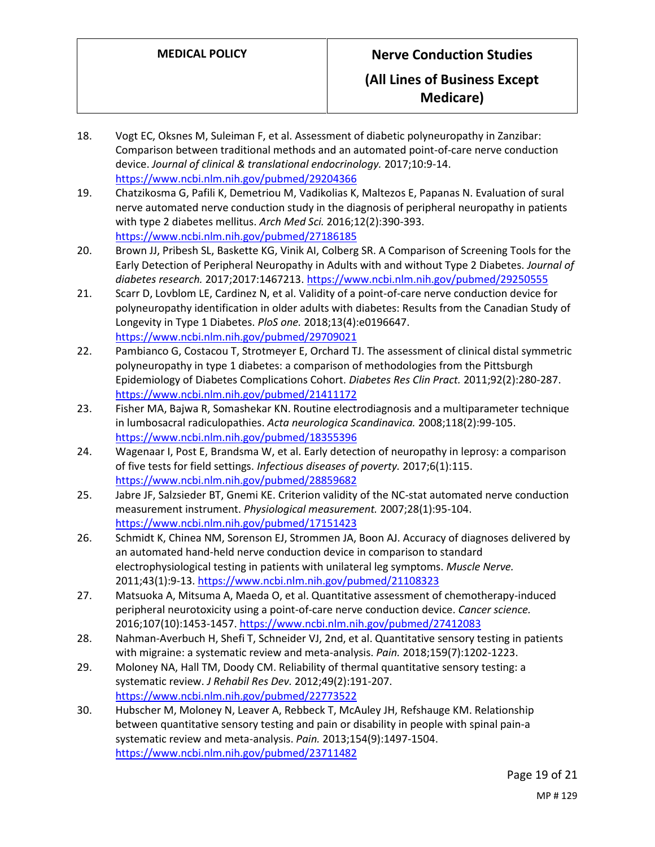# **MEDICAL POLICY Nerve Conduction Studies**

### **(All Lines of Business Except Medicare)**

- 18. Vogt EC, Oksnes M, Suleiman F, et al. Assessment of diabetic polyneuropathy in Zanzibar: Comparison between traditional methods and an automated point-of-care nerve conduction device. *Journal of clinical & translational endocrinology.* 2017;10:9-14. <https://www.ncbi.nlm.nih.gov/pubmed/29204366>
- 19. Chatzikosma G, Pafili K, Demetriou M, Vadikolias K, Maltezos E, Papanas N. Evaluation of sural nerve automated nerve conduction study in the diagnosis of peripheral neuropathy in patients with type 2 diabetes mellitus. *Arch Med Sci.* 2016;12(2):390-393. <https://www.ncbi.nlm.nih.gov/pubmed/27186185>
- 20. Brown JJ, Pribesh SL, Baskette KG, Vinik AI, Colberg SR. A Comparison of Screening Tools for the Early Detection of Peripheral Neuropathy in Adults with and without Type 2 Diabetes. *Journal of diabetes research.* 2017;2017:1467213[. https://www.ncbi.nlm.nih.gov/pubmed/29250555](https://www.ncbi.nlm.nih.gov/pubmed/29250555)
- 21. Scarr D, Lovblom LE, Cardinez N, et al. Validity of a point-of-care nerve conduction device for polyneuropathy identification in older adults with diabetes: Results from the Canadian Study of Longevity in Type 1 Diabetes. *PloS one.* 2018;13(4):e0196647. <https://www.ncbi.nlm.nih.gov/pubmed/29709021>
- 22. Pambianco G, Costacou T, Strotmeyer E, Orchard TJ. The assessment of clinical distal symmetric polyneuropathy in type 1 diabetes: a comparison of methodologies from the Pittsburgh Epidemiology of Diabetes Complications Cohort. *Diabetes Res Clin Pract.* 2011;92(2):280-287. <https://www.ncbi.nlm.nih.gov/pubmed/21411172>
- 23. Fisher MA, Bajwa R, Somashekar KN. Routine electrodiagnosis and a multiparameter technique in lumbosacral radiculopathies. *Acta neurologica Scandinavica.* 2008;118(2):99-105. <https://www.ncbi.nlm.nih.gov/pubmed/18355396>
- 24. Wagenaar I, Post E, Brandsma W, et al. Early detection of neuropathy in leprosy: a comparison of five tests for field settings. *Infectious diseases of poverty.* 2017;6(1):115. <https://www.ncbi.nlm.nih.gov/pubmed/28859682>
- 25. Jabre JF, Salzsieder BT, Gnemi KE. Criterion validity of the NC-stat automated nerve conduction measurement instrument. *Physiological measurement.* 2007;28(1):95-104. <https://www.ncbi.nlm.nih.gov/pubmed/17151423>
- 26. Schmidt K, Chinea NM, Sorenson EJ, Strommen JA, Boon AJ. Accuracy of diagnoses delivered by an automated hand-held nerve conduction device in comparison to standard electrophysiological testing in patients with unilateral leg symptoms. *Muscle Nerve.*  2011;43(1):9-13.<https://www.ncbi.nlm.nih.gov/pubmed/21108323>
- 27. Matsuoka A, Mitsuma A, Maeda O, et al. Quantitative assessment of chemotherapy-induced peripheral neurotoxicity using a point-of-care nerve conduction device. *Cancer science.*  2016;107(10):1453-1457.<https://www.ncbi.nlm.nih.gov/pubmed/27412083>
- 28. Nahman-Averbuch H, Shefi T, Schneider VJ, 2nd, et al. Quantitative sensory testing in patients with migraine: a systematic review and meta-analysis. *Pain.* 2018;159(7):1202-1223.
- 29. Moloney NA, Hall TM, Doody CM. Reliability of thermal quantitative sensory testing: a systematic review. *J Rehabil Res Dev.* 2012;49(2):191-207. <https://www.ncbi.nlm.nih.gov/pubmed/22773522>
- 30. Hubscher M, Moloney N, Leaver A, Rebbeck T, McAuley JH, Refshauge KM. Relationship between quantitative sensory testing and pain or disability in people with spinal pain-a systematic review and meta-analysis. *Pain.* 2013;154(9):1497-1504. <https://www.ncbi.nlm.nih.gov/pubmed/23711482>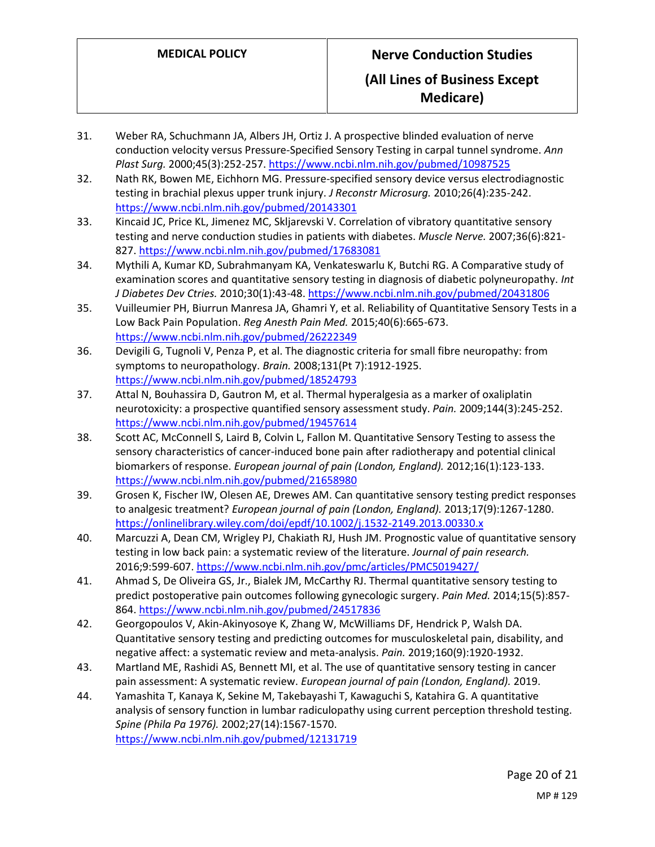## **Medicare)**

- 31. Weber RA, Schuchmann JA, Albers JH, Ortiz J. A prospective blinded evaluation of nerve conduction velocity versus Pressure-Specified Sensory Testing in carpal tunnel syndrome. *Ann Plast Surg.* 2000;45(3):252-257.<https://www.ncbi.nlm.nih.gov/pubmed/10987525>
- 32. Nath RK, Bowen ME, Eichhorn MG. Pressure-specified sensory device versus electrodiagnostic testing in brachial plexus upper trunk injury. *J Reconstr Microsurg.* 2010;26(4):235-242. <https://www.ncbi.nlm.nih.gov/pubmed/20143301>
- 33. Kincaid JC, Price KL, Jimenez MC, Skljarevski V. Correlation of vibratory quantitative sensory testing and nerve conduction studies in patients with diabetes. *Muscle Nerve.* 2007;36(6):821- 827.<https://www.ncbi.nlm.nih.gov/pubmed/17683081>
- 34. Mythili A, Kumar KD, Subrahmanyam KA, Venkateswarlu K, Butchi RG. A Comparative study of examination scores and quantitative sensory testing in diagnosis of diabetic polyneuropathy. *Int J Diabetes Dev Ctries.* 2010;30(1):43-48.<https://www.ncbi.nlm.nih.gov/pubmed/20431806>
- 35. Vuilleumier PH, Biurrun Manresa JA, Ghamri Y, et al. Reliability of Quantitative Sensory Tests in a Low Back Pain Population. *Reg Anesth Pain Med.* 2015;40(6):665-673. <https://www.ncbi.nlm.nih.gov/pubmed/26222349>
- 36. Devigili G, Tugnoli V, Penza P, et al. The diagnostic criteria for small fibre neuropathy: from symptoms to neuropathology. *Brain.* 2008;131(Pt 7):1912-1925. <https://www.ncbi.nlm.nih.gov/pubmed/18524793>
- 37. Attal N, Bouhassira D, Gautron M, et al. Thermal hyperalgesia as a marker of oxaliplatin neurotoxicity: a prospective quantified sensory assessment study. *Pain.* 2009;144(3):245-252. <https://www.ncbi.nlm.nih.gov/pubmed/19457614>
- 38. Scott AC, McConnell S, Laird B, Colvin L, Fallon M. Quantitative Sensory Testing to assess the sensory characteristics of cancer-induced bone pain after radiotherapy and potential clinical biomarkers of response. *European journal of pain (London, England).* 2012;16(1):123-133. <https://www.ncbi.nlm.nih.gov/pubmed/21658980>
- 39. Grosen K, Fischer IW, Olesen AE, Drewes AM. Can quantitative sensory testing predict responses to analgesic treatment? *European journal of pain (London, England).* 2013;17(9):1267-1280. <https://onlinelibrary.wiley.com/doi/epdf/10.1002/j.1532-2149.2013.00330.x>
- 40. Marcuzzi A, Dean CM, Wrigley PJ, Chakiath RJ, Hush JM. Prognostic value of quantitative sensory testing in low back pain: a systematic review of the literature. *Journal of pain research.*  2016;9:599-607.<https://www.ncbi.nlm.nih.gov/pmc/articles/PMC5019427/>
- 41. Ahmad S, De Oliveira GS, Jr., Bialek JM, McCarthy RJ. Thermal quantitative sensory testing to predict postoperative pain outcomes following gynecologic surgery. *Pain Med.* 2014;15(5):857- 864.<https://www.ncbi.nlm.nih.gov/pubmed/24517836>
- 42. Georgopoulos V, Akin-Akinyosoye K, Zhang W, McWilliams DF, Hendrick P, Walsh DA. Quantitative sensory testing and predicting outcomes for musculoskeletal pain, disability, and negative affect: a systematic review and meta-analysis. *Pain.* 2019;160(9):1920-1932.
- 43. Martland ME, Rashidi AS, Bennett MI, et al. The use of quantitative sensory testing in cancer pain assessment: A systematic review. *European journal of pain (London, England).* 2019.
- 44. Yamashita T, Kanaya K, Sekine M, Takebayashi T, Kawaguchi S, Katahira G. A quantitative analysis of sensory function in lumbar radiculopathy using current perception threshold testing. *Spine (Phila Pa 1976).* 2002;27(14):1567-1570. <https://www.ncbi.nlm.nih.gov/pubmed/12131719>

Page 20 of 21 MP # 129